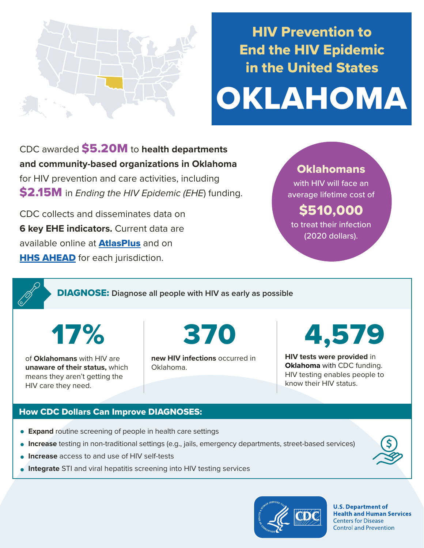

# HIV Prevention to End the HIV Epidemic in the United States

# OKLAHOMA

CDC awarded \$5.20M to **health departments and community-based organizations in Oklahoma**  for HIV prevention and care activities, including \$2.15M in *Ending the HIV Epidemic (EHE*) funding.

CDC collects and disseminates data on **6 key EHE indicators.** Current data are available online at **[AtlasPlus](https://www.cdc.gov/nchhstp/atlas/index.htm)** and on **[HHS AHEAD](https://ahead.hiv.gov/)** for each jurisdiction.

### **Oklahomans**

with HIV will face an average lifetime cost of

## \$510,000

to treat their infection (2020 dollars).

DIAGNOSE: **Diagnose all people with HIV as early as possible** 

17%

of **Oklahomans** with HIV are **unaware of their status,** which means they aren't getting the HIV care they need.

370

**new HIV infections** occurred in Oklahoma.

4,579

**HIV tests were provided** in **Oklahoma** with CDC funding. HIV testing enables people to know their HIV status.

#### How CDC Dollars Can Improve DIAGNOSES:

- **Expand** routine screening of people in health care settings
- **Increase** testing in non-traditional settings (e.g., jails, emergency departments, street-based services)
- **Increase** access to and use of HIV self-tests
- **Integrate** STI and viral hepatitis screening into HIV testing services



**U.S. Department of Health and Human Services Centers for Disease Control and Prevention**